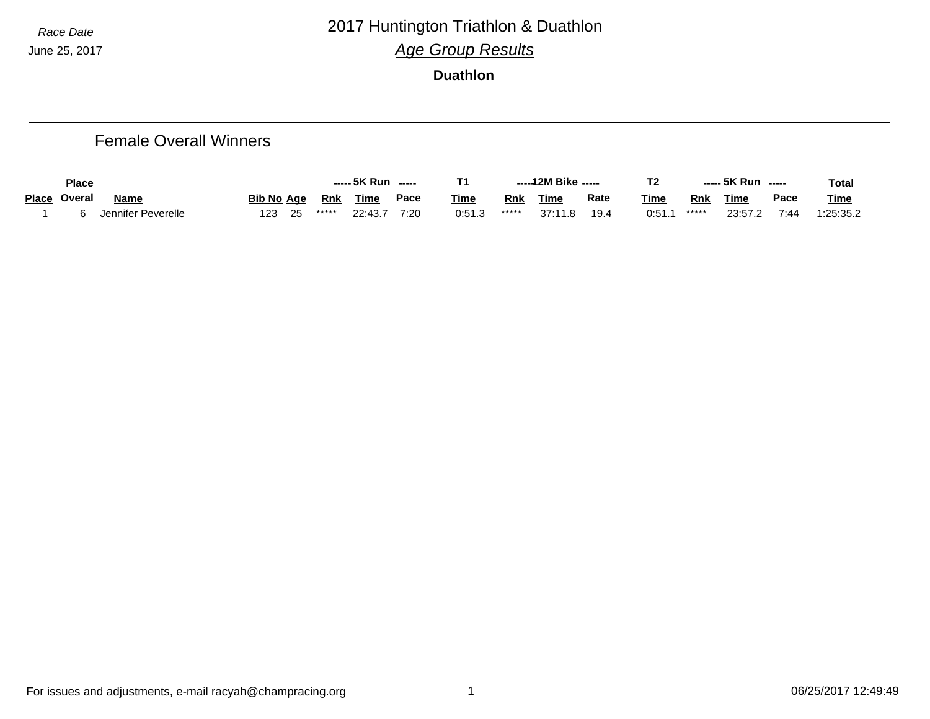#### *Race Date* 2017 Huntington Triathlon & Duathlon *Age Group Results*

**Duathlon**

|              | <b>Female Overall Winners</b> |                   |      |       |             |             |             |            |                     |             |                |            |                    |             |              |
|--------------|-------------------------------|-------------------|------|-------|-------------|-------------|-------------|------------|---------------------|-------------|----------------|------------|--------------------|-------------|--------------|
| <b>Place</b> |                               |                   |      |       |             |             | Τ1          |            | -----12M Bike ----- |             | T <sub>2</sub> |            | ----- 5K Run ----- |             | <b>Total</b> |
| Place Overal | <b>Name</b>                   | <b>Bib No Age</b> |      | Rnk   | <b>Time</b> | <u>Pace</u> | <b>Time</b> | <b>Rnk</b> | <b>Time</b>         | <b>Rate</b> | <u>Time</u>    | <b>Rnk</b> | Time               | <b>Pace</b> | <b>Time</b>  |
| 6.           | Jennifer Peverelle            | 123               | - 25 | ***** | 22:43.7     | 7:20        | 0:51.3      | *****      | 37:11.8             | 19.4        | 0:51.          | *****      | 23:57.2            | 7:44        | 1:25:35.2    |

For issues and adjustments, e-mail racyah@champracing.org 1 06/25/2017 12:49:49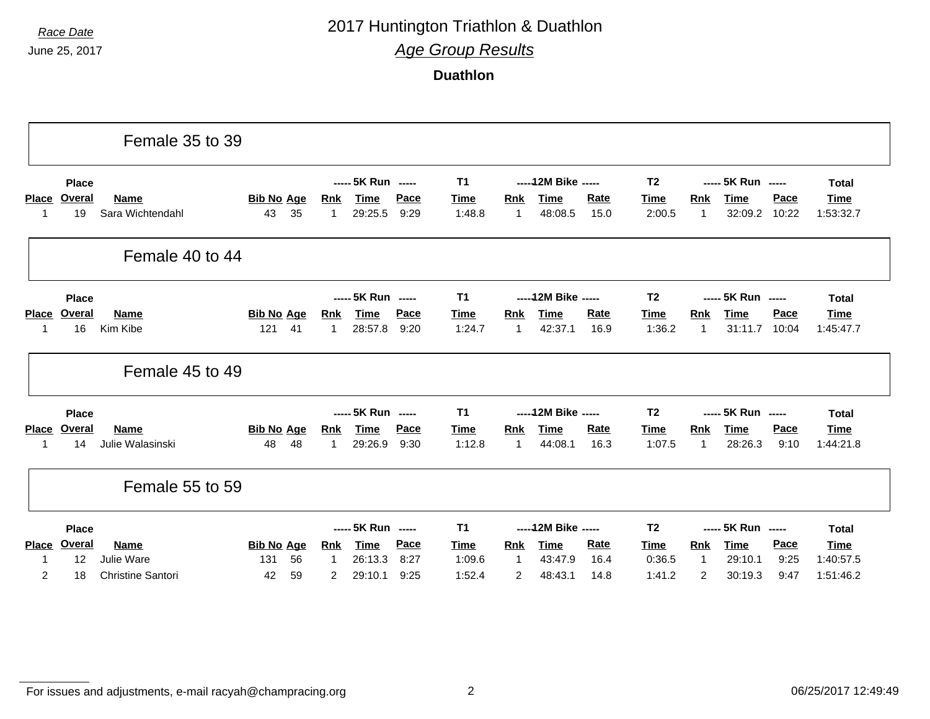## *Race Date* 2017 Huntington Triathlon & Duathlon

*Age Group Results*

**Duathlon**

| ----- 12M Bike -----<br>----- 5K Run -----<br>T <sub>1</sub><br>T <sub>2</sub><br>----- 5K Run -----<br><b>Place</b><br><b>Total</b><br>Overal<br>Pace<br><b>Bib No Age</b><br>Rate<br>Pace<br><b>Place</b><br><b>Name</b><br><b>Rnk</b><br>Time<br><b>Time</b><br>Rnk<br><b>Time</b><br>Time<br>Rnk<br><b>Time</b><br><b>Time</b><br>35<br>9:29<br>19<br>Sara Wichtendahl<br>43<br>29:25.5<br>1:48.8<br>$\overline{1}$<br>48:08.5<br>15.0<br>2:00.5<br>$\mathbf{1}$<br>32:09.2<br>10:22<br>1<br>1:53:32.7<br>1<br>Female 40 to 44<br>----- 5K Run -----<br>T <sub>1</sub><br>----- 12M Bike -----<br>T <sub>2</sub><br>----- 5K Run -----<br><b>Place</b><br><b>Total</b><br><b>Overal</b><br>Pace<br><b>Rate</b><br>Pace<br><b>Place</b><br><b>Name</b><br><b>Bib No Age</b><br><b>Time</b><br><b>Time</b><br><b>Rnk</b><br><b>Time</b><br><b>Time</b><br><b>Rnk</b><br><b>Time</b><br><b>Rnk</b><br><u>Time</u><br>16<br>Kim Kibe<br>121<br>41<br>28:57.8<br>9:20<br>1:24.7<br>$\overline{1}$<br>42:37.1<br>16.9<br>1:36.2<br>$\mathbf{1}$<br>31:11.7<br>10:04<br>$\mathbf{1}$<br>1:45:47.7<br>1<br>Female 45 to 49<br>----- 5K Run -----<br><b>T1</b><br>----- 12M Bike -----<br>T <sub>2</sub><br>----- 5K Run -----<br><b>Place</b><br><b>Total</b><br>Pace<br>Overal<br>Rate<br><b>Pace</b><br>Name<br><b>Bib No Age</b><br><b>Rnk</b><br><b>Time</b><br><b>Time</b><br><b>Time</b><br><b>Place</b><br><b>Time</b><br><b>Rnk</b><br><b>Rnk</b><br><b>Time</b><br>Time<br>9:30<br>48<br>29:26.9<br>1:12.8<br>$\overline{1}$<br>44:08.1<br>16.3<br>$\mathbf{1}$<br>28:26.3<br>9:10<br>Julie Walasinski<br>48<br>1<br>1:07.5<br>1:44:21.8<br>14<br>1<br>Female 55 to 59<br>----- 5K Run -----<br>----- 12M Bike -----<br><b>T1</b><br>T <sub>2</sub><br>----- 5K Run -----<br><b>Place</b><br><b>Total</b><br><b>Overal</b><br><b>Pace</b><br>Rate<br>Pace<br><b>Place</b><br><b>Name</b><br><b>Bib No Age</b><br><b>Time</b><br><b>Time</b><br><b>Time</b><br><b>Rnk</b><br><b>Rnk</b><br><b>Rnk</b><br><b>Time</b><br>Time<br>Time<br>Julie Ware<br>56<br>26:13.3<br>8:27<br>16.4<br>12<br>131<br>1:09.6<br>$\overline{1}$<br>43:47.9<br>0:36.5<br>$\mathbf{1}$<br>29:10.1<br>9:25<br>1:40:57.5<br>$\mathbf{1}$<br>1<br>$\overline{2}$<br><b>Christine Santori</b><br>1:52.4<br>$\overline{2}$<br>48:43.1<br>1:41.2<br>42<br>59<br>29:10.1<br>9:25<br>14.8<br>2<br>30:19.3<br>9:47<br>18<br>2 |  | Female 35 to 39 |  |  |  |  |  |  |           |
|-----------------------------------------------------------------------------------------------------------------------------------------------------------------------------------------------------------------------------------------------------------------------------------------------------------------------------------------------------------------------------------------------------------------------------------------------------------------------------------------------------------------------------------------------------------------------------------------------------------------------------------------------------------------------------------------------------------------------------------------------------------------------------------------------------------------------------------------------------------------------------------------------------------------------------------------------------------------------------------------------------------------------------------------------------------------------------------------------------------------------------------------------------------------------------------------------------------------------------------------------------------------------------------------------------------------------------------------------------------------------------------------------------------------------------------------------------------------------------------------------------------------------------------------------------------------------------------------------------------------------------------------------------------------------------------------------------------------------------------------------------------------------------------------------------------------------------------------------------------------------------------------------------------------------------------------------------------------------------------------------------------------------------------------------------------------------------------------------------------------------------------------------------------------------------------------------------------------------------------------------------------------------------------------------------------------------------------------------------------------------------------------------------|--|-----------------|--|--|--|--|--|--|-----------|
|                                                                                                                                                                                                                                                                                                                                                                                                                                                                                                                                                                                                                                                                                                                                                                                                                                                                                                                                                                                                                                                                                                                                                                                                                                                                                                                                                                                                                                                                                                                                                                                                                                                                                                                                                                                                                                                                                                                                                                                                                                                                                                                                                                                                                                                                                                                                                                                                     |  |                 |  |  |  |  |  |  |           |
|                                                                                                                                                                                                                                                                                                                                                                                                                                                                                                                                                                                                                                                                                                                                                                                                                                                                                                                                                                                                                                                                                                                                                                                                                                                                                                                                                                                                                                                                                                                                                                                                                                                                                                                                                                                                                                                                                                                                                                                                                                                                                                                                                                                                                                                                                                                                                                                                     |  |                 |  |  |  |  |  |  |           |
|                                                                                                                                                                                                                                                                                                                                                                                                                                                                                                                                                                                                                                                                                                                                                                                                                                                                                                                                                                                                                                                                                                                                                                                                                                                                                                                                                                                                                                                                                                                                                                                                                                                                                                                                                                                                                                                                                                                                                                                                                                                                                                                                                                                                                                                                                                                                                                                                     |  |                 |  |  |  |  |  |  |           |
|                                                                                                                                                                                                                                                                                                                                                                                                                                                                                                                                                                                                                                                                                                                                                                                                                                                                                                                                                                                                                                                                                                                                                                                                                                                                                                                                                                                                                                                                                                                                                                                                                                                                                                                                                                                                                                                                                                                                                                                                                                                                                                                                                                                                                                                                                                                                                                                                     |  |                 |  |  |  |  |  |  |           |
|                                                                                                                                                                                                                                                                                                                                                                                                                                                                                                                                                                                                                                                                                                                                                                                                                                                                                                                                                                                                                                                                                                                                                                                                                                                                                                                                                                                                                                                                                                                                                                                                                                                                                                                                                                                                                                                                                                                                                                                                                                                                                                                                                                                                                                                                                                                                                                                                     |  |                 |  |  |  |  |  |  |           |
|                                                                                                                                                                                                                                                                                                                                                                                                                                                                                                                                                                                                                                                                                                                                                                                                                                                                                                                                                                                                                                                                                                                                                                                                                                                                                                                                                                                                                                                                                                                                                                                                                                                                                                                                                                                                                                                                                                                                                                                                                                                                                                                                                                                                                                                                                                                                                                                                     |  |                 |  |  |  |  |  |  |           |
|                                                                                                                                                                                                                                                                                                                                                                                                                                                                                                                                                                                                                                                                                                                                                                                                                                                                                                                                                                                                                                                                                                                                                                                                                                                                                                                                                                                                                                                                                                                                                                                                                                                                                                                                                                                                                                                                                                                                                                                                                                                                                                                                                                                                                                                                                                                                                                                                     |  |                 |  |  |  |  |  |  |           |
|                                                                                                                                                                                                                                                                                                                                                                                                                                                                                                                                                                                                                                                                                                                                                                                                                                                                                                                                                                                                                                                                                                                                                                                                                                                                                                                                                                                                                                                                                                                                                                                                                                                                                                                                                                                                                                                                                                                                                                                                                                                                                                                                                                                                                                                                                                                                                                                                     |  |                 |  |  |  |  |  |  |           |
|                                                                                                                                                                                                                                                                                                                                                                                                                                                                                                                                                                                                                                                                                                                                                                                                                                                                                                                                                                                                                                                                                                                                                                                                                                                                                                                                                                                                                                                                                                                                                                                                                                                                                                                                                                                                                                                                                                                                                                                                                                                                                                                                                                                                                                                                                                                                                                                                     |  |                 |  |  |  |  |  |  |           |
|                                                                                                                                                                                                                                                                                                                                                                                                                                                                                                                                                                                                                                                                                                                                                                                                                                                                                                                                                                                                                                                                                                                                                                                                                                                                                                                                                                                                                                                                                                                                                                                                                                                                                                                                                                                                                                                                                                                                                                                                                                                                                                                                                                                                                                                                                                                                                                                                     |  |                 |  |  |  |  |  |  |           |
|                                                                                                                                                                                                                                                                                                                                                                                                                                                                                                                                                                                                                                                                                                                                                                                                                                                                                                                                                                                                                                                                                                                                                                                                                                                                                                                                                                                                                                                                                                                                                                                                                                                                                                                                                                                                                                                                                                                                                                                                                                                                                                                                                                                                                                                                                                                                                                                                     |  |                 |  |  |  |  |  |  |           |
|                                                                                                                                                                                                                                                                                                                                                                                                                                                                                                                                                                                                                                                                                                                                                                                                                                                                                                                                                                                                                                                                                                                                                                                                                                                                                                                                                                                                                                                                                                                                                                                                                                                                                                                                                                                                                                                                                                                                                                                                                                                                                                                                                                                                                                                                                                                                                                                                     |  |                 |  |  |  |  |  |  |           |
|                                                                                                                                                                                                                                                                                                                                                                                                                                                                                                                                                                                                                                                                                                                                                                                                                                                                                                                                                                                                                                                                                                                                                                                                                                                                                                                                                                                                                                                                                                                                                                                                                                                                                                                                                                                                                                                                                                                                                                                                                                                                                                                                                                                                                                                                                                                                                                                                     |  |                 |  |  |  |  |  |  |           |
|                                                                                                                                                                                                                                                                                                                                                                                                                                                                                                                                                                                                                                                                                                                                                                                                                                                                                                                                                                                                                                                                                                                                                                                                                                                                                                                                                                                                                                                                                                                                                                                                                                                                                                                                                                                                                                                                                                                                                                                                                                                                                                                                                                                                                                                                                                                                                                                                     |  |                 |  |  |  |  |  |  |           |
|                                                                                                                                                                                                                                                                                                                                                                                                                                                                                                                                                                                                                                                                                                                                                                                                                                                                                                                                                                                                                                                                                                                                                                                                                                                                                                                                                                                                                                                                                                                                                                                                                                                                                                                                                                                                                                                                                                                                                                                                                                                                                                                                                                                                                                                                                                                                                                                                     |  |                 |  |  |  |  |  |  |           |
|                                                                                                                                                                                                                                                                                                                                                                                                                                                                                                                                                                                                                                                                                                                                                                                                                                                                                                                                                                                                                                                                                                                                                                                                                                                                                                                                                                                                                                                                                                                                                                                                                                                                                                                                                                                                                                                                                                                                                                                                                                                                                                                                                                                                                                                                                                                                                                                                     |  |                 |  |  |  |  |  |  | 1:51:46.2 |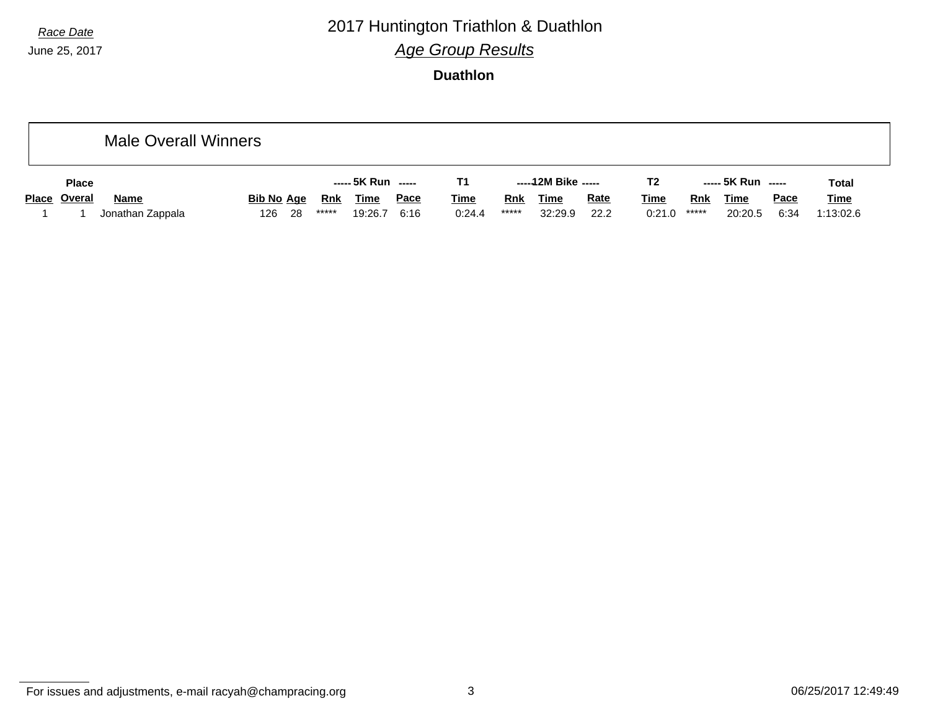#### *Race Date* 2017 Huntington Triathlon & Duathlon *Age Group Results*

**Duathlon**

|              | <b>Male Overall Winners</b> |                   |     |            |                    |      |             |       |                     |             |                |       |                    |             |              |
|--------------|-----------------------------|-------------------|-----|------------|--------------------|------|-------------|-------|---------------------|-------------|----------------|-------|--------------------|-------------|--------------|
| <b>Place</b> |                             |                   |     |            | ----- 5K Run ----- |      | Т1          |       | -----12M Bike ----- |             | T <sub>2</sub> |       | ----- 5K Run ----- |             | <b>Total</b> |
| Place Overal | <b>Name</b>                 | <b>Bib No Age</b> |     | <u>Rnk</u> | <b>Time</b>        | Pace | <b>Time</b> | Rnk   | <b>Time</b>         | <b>Rate</b> | <u>Time</u>    | Rnk   | <u>Time</u>        | <b>Pace</b> | <b>Time</b>  |
|              | Jonathan Zappala            | 126               | -28 | *****      | 19:26.7            | 6:16 | 0:24.4      | ***** | 32:29.9             | 22.2        | 0:21.0         | ***** | 20:20.5            | 6:34        | 1:13:02.6    |

For issues and adjustments, e-mail racyah@champracing.org 3 3 06/25/2017 12:49:49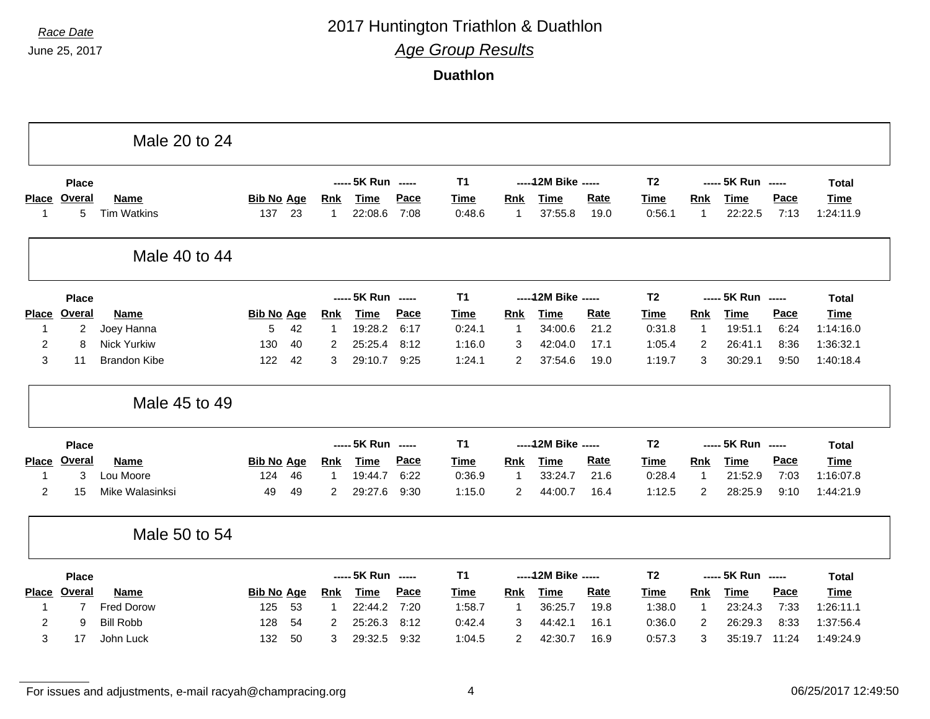### *Race Date* 2017 Huntington Triathlon & Duathlon

*Age Group Results*

**Duathlon**

|                   |                    | Male 20 to 24                     |                          |    |                            |                        |              |                       |                            |                        |                     |                       |                     |                        |              |                          |
|-------------------|--------------------|-----------------------------------|--------------------------|----|----------------------------|------------------------|--------------|-----------------------|----------------------------|------------------------|---------------------|-----------------------|---------------------|------------------------|--------------|--------------------------|
|                   | <b>Place</b>       |                                   |                          |    |                            | ----- 5K Run -----     |              | <b>T1</b>             |                            | ----- 12M Bike -----   |                     | T <sub>2</sub>        |                     | ----- 5K Run -----     |              | <b>Total</b>             |
| <b>Place</b><br>1 | <b>Overal</b><br>5 | <b>Name</b><br><b>Tim Watkins</b> | <b>Bib No Age</b><br>137 | 23 | <b>Rnk</b><br>$\mathbf{1}$ | <b>Time</b><br>22:08.6 | Pace<br>7:08 | <b>Time</b><br>0:48.6 | <b>Rnk</b><br>$\mathbf{1}$ | <b>Time</b><br>37:55.8 | <b>Rate</b><br>19.0 | <u>Time</u><br>0:56.1 | Rnk<br>$\mathbf{1}$ | <b>Time</b><br>22:22.5 | Pace<br>7:13 | <b>Time</b><br>1:24:11.9 |
|                   |                    | Male 40 to 44                     |                          |    |                            |                        |              |                       |                            |                        |                     |                       |                     |                        |              |                          |
|                   | Place              |                                   |                          |    |                            | ----- 5K Run -----     |              | <b>T1</b>             |                            | ----- 12M Bike -----   |                     | T <sub>2</sub>        |                     | ----- 5K Run -----     |              | <b>Total</b>             |
| <b>Place</b>      | <b>Overal</b>      | Name                              | <b>Bib No Age</b>        |    | <b>Rnk</b>                 | <b>Time</b>            | Pace         | <b>Time</b>           | <b>Rnk</b>                 | <b>Time</b>            | <b>Rate</b>         | <b>Time</b>           | Rnk                 | <b>Time</b>            | Pace         | <b>Time</b>              |
| 1                 | 2                  | Joey Hanna                        | 5                        | 42 | 1                          | 19:28.2                | 6:17         | 0:24.1                | -1                         | 34:00.6                | 21.2                | 0:31.8                | $\mathbf{1}$        | 19:51.1                | 6:24         | 1:14:16.0                |
| $\overline{2}$    | 8                  | <b>Nick Yurkiw</b>                | 130                      | 40 | $\overline{2}$             | 25:25.4                | 8:12         | 1:16.0                | 3                          | 42:04.0                | 17.1                | 1:05.4                | 2                   | 26:41.1                | 8:36         | 1:36:32.1                |
| 3                 | 11                 | <b>Brandon Kibe</b>               | 122                      | 42 | 3                          | 29:10.7                | 9:25         | 1:24.1                | 2                          | 37:54.6                | 19.0                | 1:19.7                | 3                   | 30:29.1                | 9:50         | 1:40:18.4                |
|                   |                    | Male 45 to 49                     |                          |    |                            |                        |              |                       |                            |                        |                     |                       |                     |                        |              |                          |
|                   | <b>Place</b>       |                                   |                          |    |                            | ----- 5K Run -----     |              | <b>T1</b>             |                            | ----- 12M Bike -----   |                     | T <sub>2</sub>        |                     | ----- 5K Run -----     |              | <b>Total</b>             |
| <b>Place</b>      | <b>Overal</b>      | <b>Name</b>                       | <b>Bib No Age</b>        |    | <b>Rnk</b>                 | <b>Time</b>            | Pace         | <b>Time</b>           | Rnk                        | <b>Time</b>            | <b>Rate</b>         | Time                  | <b>Rnk</b>          | <b>Time</b>            | Pace         | <b>Time</b>              |
| -1                | 3                  | Lou Moore                         | 124                      | 46 | 1                          | 19:44.7                | 6:22         | 0:36.9                | -1                         | 33:24.7                | 21.6                | 0:28.4                | $\mathbf{1}$        | 21:52.9                | 7:03         | 1:16:07.8                |
| 2                 | 15                 | Mike Walasinksi                   | 49                       | 49 | 2                          | 29:27.6                | 9:30         | 1:15.0                | 2                          | 44:00.7                | 16.4                | 1:12.5                | 2                   | 28:25.9                | 9:10         | 1:44:21.9                |
|                   |                    | Male 50 to 54                     |                          |    |                            |                        |              |                       |                            |                        |                     |                       |                     |                        |              |                          |
|                   | <b>Place</b>       |                                   |                          |    |                            | ----- 5K Run -----     |              | <b>T1</b>             |                            | ----- 12M Bike -----   |                     | T <sub>2</sub>        |                     | ----- 5K Run -----     |              | <b>Total</b>             |
|                   | Overal             | <b>Name</b>                       | <b>Bib No Age</b>        |    | <b>Rnk</b>                 | <b>Time</b>            | Pace         | Time                  | Rnk                        | <b>Time</b>            | Rate                | <b>Time</b>           | Rnk                 | <b>Time</b>            | Pace         | <b>Time</b>              |
| <b>Place</b>      |                    |                                   |                          |    |                            |                        |              |                       |                            |                        |                     |                       |                     |                        |              |                          |
| 1                 | 7                  | <b>Fred Dorow</b>                 | 125                      | 53 | $\mathbf 1$                | 22:44.2                | 7:20         | 1:58.7                | $\mathbf 1$                | 36:25.7                | 19.8                | 1:38.0                | $\mathbf{1}$        | 23:24.3                | 7:33         | 1:26:11.1                |
| $\overline{c}$    | 9                  | <b>Bill Robb</b>                  | 128                      | 54 | 2                          | 25:26.3                | 8:12         | 0:42.4                | 3                          | 44:42.1                | 16.1                | 0:36.0                | 2                   | 26:29.3                | 8:33         | 1:37:56.4                |

For issues and adjustments, e-mail racyah@champracing.org 4 06/25/2017 12:49:50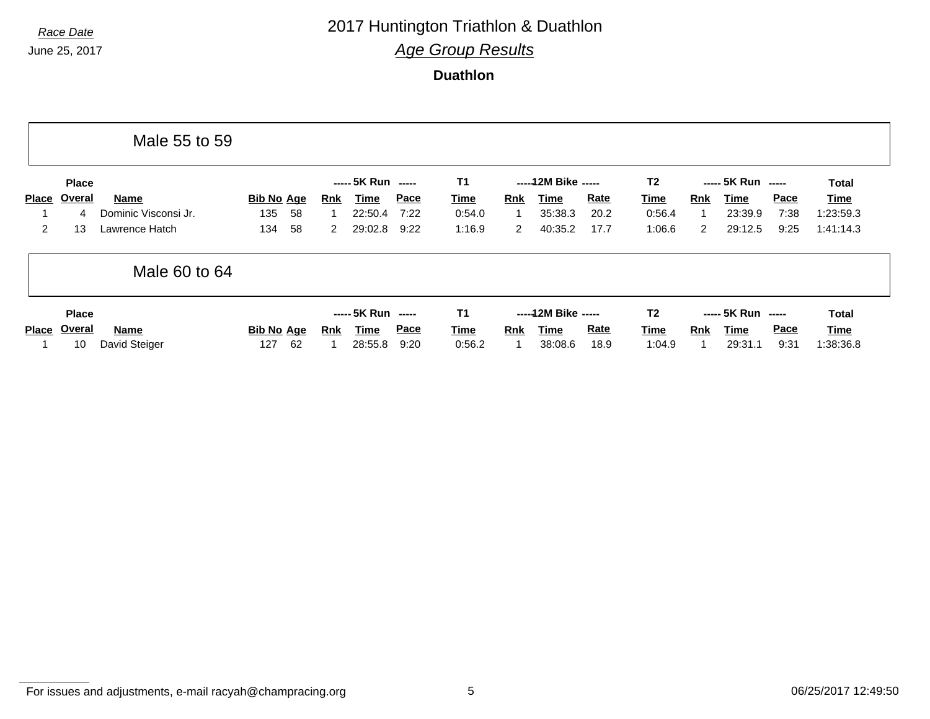# *Race Date* 2017 Huntington Triathlon & Duathlon

*Age Group Results*

**Duathlon**

|                      |                              | Male 55 to 59         |                         |            |                                       |              |                             |            |                                         |                     |                                         |            |                                       |                     |                            |  |
|----------------------|------------------------------|-----------------------|-------------------------|------------|---------------------------------------|--------------|-----------------------------|------------|-----------------------------------------|---------------------|-----------------------------------------|------------|---------------------------------------|---------------------|----------------------------|--|
|                      | <b>Place</b>                 |                       |                         |            | ----- 5K Run -----                    |              | <b>T1</b>                   |            | ----- 12M Bike -----                    |                     | T <sub>2</sub>                          |            | ----- 5K Run -----                    |                     | Total                      |  |
| Place                | Overal                       | <b>Name</b>           | <b>Bib No Age</b>       | <b>Rnk</b> | Time                                  | Pace         | <b>Time</b>                 | <b>Rnk</b> | Time                                    | <b>Rate</b>         | Time                                    | Rnk        | Time                                  | <b>Pace</b>         | Time                       |  |
|                      | 4                            | Dominic Visconsi Jr.  | 135<br>58               |            | 22:50.4                               | 7:22         | 0:54.0                      |            | 35:38.3                                 | 20.2                | 0:56.4                                  |            | 23:39.9                               | 7:38                | 1:23:59.3                  |  |
| $\mathbf{2}^{\circ}$ | 13                           | Lawrence Hatch        | 58<br>134               | 2          | 29:02.8                               | 9:22         | 1:16.9                      | 2          | 40:35.2                                 | 17.7                | 1:06.6                                  | 2          | 29:12.5                               | 9:25                | 1:41:14.3                  |  |
|                      |                              | Male 60 to 64         |                         |            |                                       |              |                             |            |                                         |                     |                                         |            |                                       |                     |                            |  |
| <b>Place</b>         | <b>Place</b><br>Overal<br>10 | Name<br>David Steiger | Bib No Age<br>62<br>127 | <b>Rnk</b> | ----- 5K Run -----<br>Time<br>28:55.8 | Pace<br>9:20 | T1<br><b>Time</b><br>0:56.2 | <b>Rnk</b> | ----- 12M Bike -----<br>Time<br>38:08.6 | <b>Rate</b><br>18.9 | T <sub>2</sub><br><u>Time</u><br>1:04.9 | <b>Rnk</b> | ----- 5K Run -----<br>Time<br>29:31.1 | <b>Pace</b><br>9:31 | Total<br>Time<br>1:38:36.8 |  |

For issues and adjustments, e-mail racyah@champracing.org 5 6 06/25/2017 12:49:50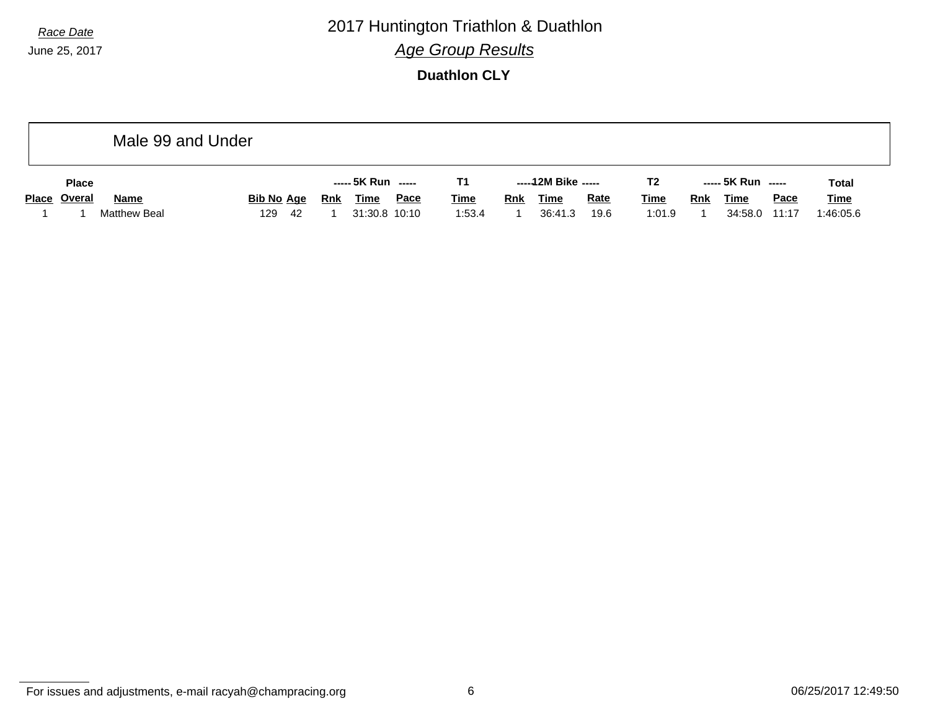*Race Date* 2017 Huntington Triathlon & Duathlon *Age Group Results*

**Duathlon CLY**

|              |                     | Male 99 and Under |     |                   |     |                    |             |             |            |                     |             |                |            |                    |             |              |
|--------------|---------------------|-------------------|-----|-------------------|-----|--------------------|-------------|-------------|------------|---------------------|-------------|----------------|------------|--------------------|-------------|--------------|
| <b>Place</b> |                     |                   |     |                   |     | ----- 5K Run ----- |             | T1.         |            | -----12M Bike ----- |             | T <sub>2</sub> |            | ----- 5K Run ----- |             | <b>Total</b> |
| Place Overal | <b>Name</b>         |                   |     | <b>Bib No Age</b> | Rnk | <b>Time</b>        | <u>Pace</u> | <b>Time</b> | <b>Rnk</b> | <u>Time</u>         | <b>Rate</b> | <u>Time</u>    | <b>Rnk</b> | <b>Time</b>        | <b>Pace</b> | <b>Time</b>  |
|              | <b>Matthew Beal</b> |                   | 129 | - 42              |     | 31:30.8 10:10      |             | 1:53.4      |            | 36:41.3             | 19.6        | 1:01.9         |            | 34:58.0            | 11:17       | 1:46:05.6    |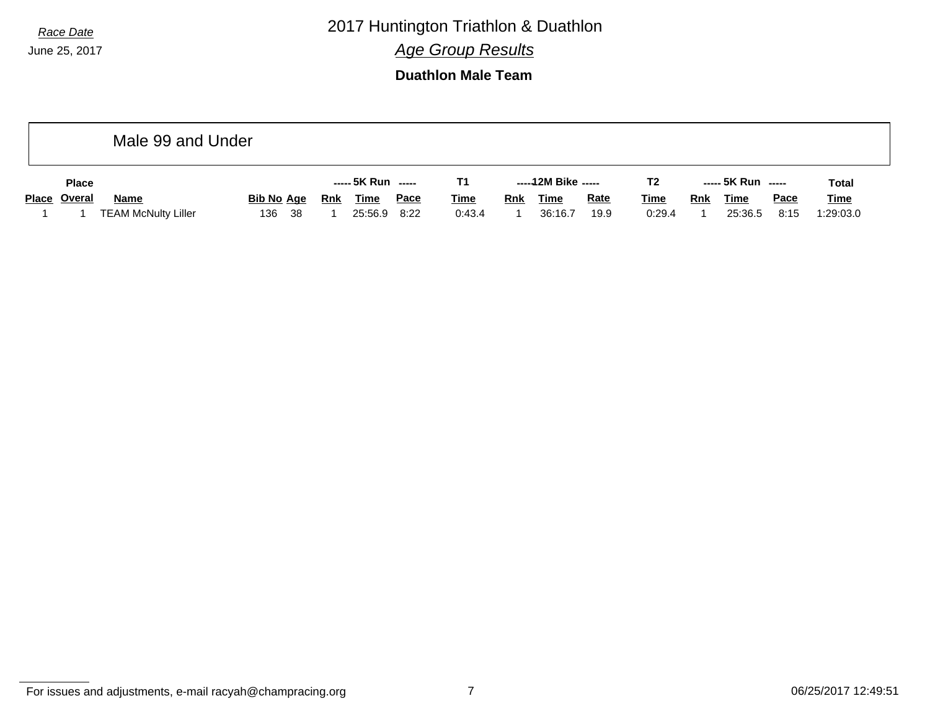*Race Date* 2017 Huntington Triathlon & Duathlon

*Age Group Results*

**Duathlon Male Team**

|              | Male 99 and Under          |                   |      |            |                    |             |             |            |                     |             |                |     |                    |             |              |
|--------------|----------------------------|-------------------|------|------------|--------------------|-------------|-------------|------------|---------------------|-------------|----------------|-----|--------------------|-------------|--------------|
| <b>Place</b> |                            |                   |      |            | ----- 5K Run ----- |             | Τ1          |            | -----12M Bike ----- |             | T <sub>2</sub> |     | ----- 5K Run ----- |             | <b>Total</b> |
| Place Overal | <b>Name</b>                | <b>Bib No Age</b> |      | <b>Rnk</b> | <b>Time</b>        | <u>Pace</u> | <b>Time</b> | <u>Rnk</u> | <u>Time</u>         | <b>Rate</b> | <b>Time</b>    | Rnk | <b>Time</b>        | <b>Pace</b> | <b>Time</b>  |
|              | <b>TEAM McNulty Liller</b> | 136               | - 38 |            | 25:56.9            | 8:22        | 0:43.4      |            | 36:16.7             | 19.9        | 0:29.4         |     | 25:36.5            | 8:15        | 1:29:03.0    |

For issues and adjustments, e-mail racyah@champracing.org 7 06/25/2017 12:49:51